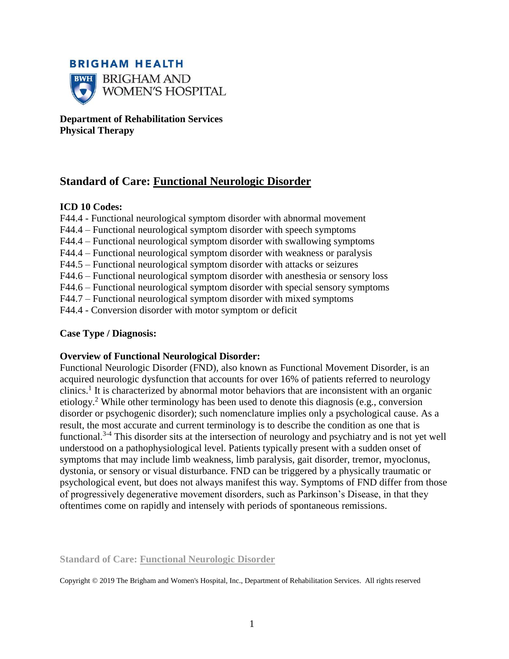

**Department of Rehabilitation Services Physical Therapy**

# **Standard of Care: Functional Neurologic Disorder**

## **ICD 10 Codes:**

- F44.4 Functional neurological symptom disorder with abnormal movement
- F44.4 Functional neurological symptom disorder with speech symptoms
- F44.4 Functional neurological symptom disorder with swallowing symptoms
- F44.4 Functional neurological symptom disorder with weakness or paralysis
- F44.5 Functional neurological symptom disorder with attacks or seizures
- F44.6 Functional neurological symptom disorder with anesthesia or sensory loss
- F44.6 Functional neurological symptom disorder with special sensory symptoms
- F44.7 Functional neurological symptom disorder with mixed symptoms
- F44.4 Conversion disorder with motor symptom or deficit

## **Case Type / Diagnosis:**

### **Overview of Functional Neurological Disorder:**

Functional Neurologic Disorder (FND), also known as Functional Movement Disorder, is an acquired neurologic dysfunction that accounts for over 16% of patients referred to neurology clinics.<sup>1</sup> It is characterized by abnormal motor behaviors that are inconsistent with an organic etiology.<sup>2</sup> While other terminology has been used to denote this diagnosis (e.g., conversion disorder or psychogenic disorder); such nomenclature implies only a psychological cause. As a result, the most accurate and current terminology is to describe the condition as one that is functional.3-4 This disorder sits at the intersection of neurology and psychiatry and is not yet well understood on a pathophysiological level. Patients typically present with a sudden onset of symptoms that may include limb weakness, limb paralysis, gait disorder, tremor, myoclonus, dystonia, or sensory or visual disturbance. FND can be triggered by a physically traumatic or psychological event, but does not always manifest this way. Symptoms of FND differ from those of progressively degenerative movement disorders, such as Parkinson's Disease, in that they oftentimes come on rapidly and intensely with periods of spontaneous remissions.

**Standard of Care: Functional Neurologic Disorder**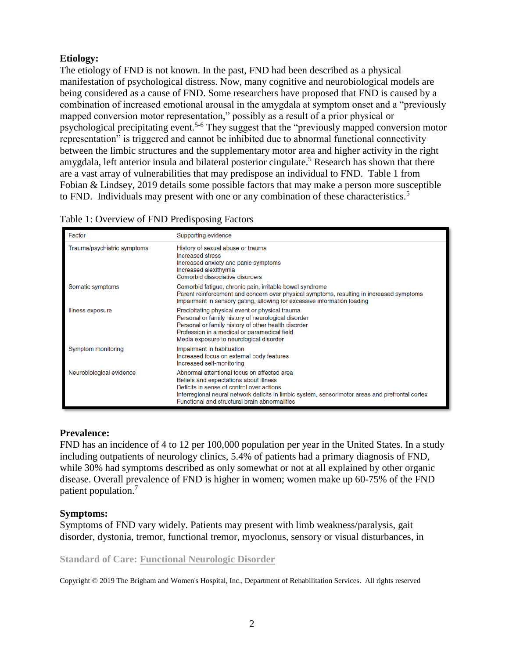# **Etiology:**

The etiology of FND is not known. In the past, FND had been described as a physical manifestation of psychological distress. Now, many cognitive and neurobiological models are being considered as a cause of FND. Some researchers have proposed that FND is caused by a combination of increased emotional arousal in the amygdala at symptom onset and a "previously mapped conversion motor representation," possibly as a result of a prior physical or psychological precipitating event.<sup>5-6</sup> They suggest that the "previously mapped conversion motor representation" is triggered and cannot be inhibited due to abnormal functional connectivity between the limbic structures and the supplementary motor area and higher activity in the right amygdala, left anterior insula and bilateral posterior cingulate.<sup>5</sup> Research has shown that there are a vast array of vulnerabilities that may predispose an individual to FND. Table 1 from Fobian & Lindsey, 2019 details some possible factors that may make a person more susceptible to FND. Individuals may present with one or any combination of these characteristics.<sup>5</sup>

| Factor                      | Supporting evidence                                                                                                                                                                                                                                                                     |
|-----------------------------|-----------------------------------------------------------------------------------------------------------------------------------------------------------------------------------------------------------------------------------------------------------------------------------------|
| Trauma/psychiatric symptoms | History of sexual abuse or trauma<br>Increased stress<br>Increased anxiety and panic symptoms<br>Increased alexithymia<br>Comorbid dissociative disorders                                                                                                                               |
| Somatic symptoms            | Comorbid fatigue, chronic pain, irritable bowel syndrome<br>Parent reinforcement and concern over physical symptoms, resulting in increased symptoms<br>Impairment in sensory gating, allowing for excessive information loading                                                        |
| Illness exposure            | Precipitating physical event or physical trauma<br>Personal or family history of neurological disorder<br>Personal or family history of other health disorder<br>Profession in a medical or paramedical field<br>Media exposure to neurological disorder                                |
| Symptom monitoring          | Impairment in habituation<br>Increased focus on external body features<br>Increased self-monitoring                                                                                                                                                                                     |
| Neurobiological evidence    | Abnormal attentional focus on affected area<br>Beliefs and expectations about illness<br>Deficits in sense of control over actions<br>Interregional neural network deficits in limbic system, sensorimotor areas and prefrontal cortex<br>Functional and structural brain abnormalities |

|  | Table 1: Overview of FND Predisposing Factors |  |  |
|--|-----------------------------------------------|--|--|

# **Prevalence:**

FND has an incidence of 4 to 12 per 100,000 population per year in the United States. In a study including outpatients of neurology clinics, 5.4% of patients had a primary diagnosis of FND, while 30% had symptoms described as only somewhat or not at all explained by other organic disease. Overall prevalence of FND is higher in women; women make up 60-75% of the FND patient population.<sup>7</sup>

# **Symptoms:**

Symptoms of FND vary widely. Patients may present with limb weakness/paralysis, gait disorder, dystonia, tremor, functional tremor, myoclonus, sensory or visual disturbances, in

**Standard of Care: Functional Neurologic Disorder**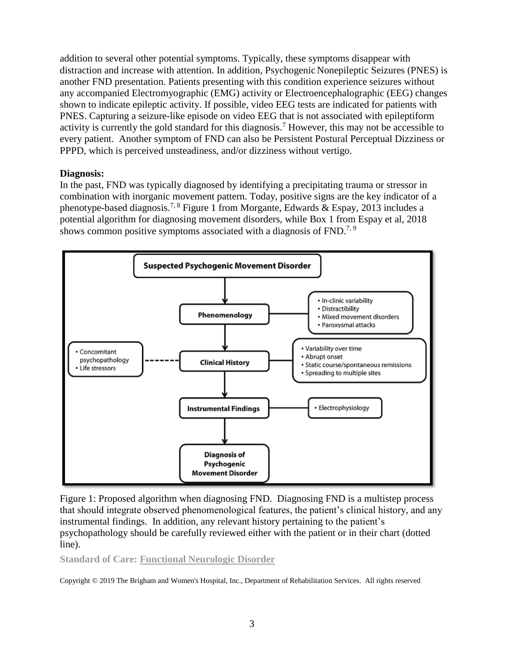addition to several other potential symptoms. Typically, these symptoms disappear with distraction and increase with attention. In addition, Psychogenic Nonepileptic Seizures (PNES) is another FND presentation. Patients presenting with this condition experience seizures without any accompanied Electromyographic (EMG) activity or Electroencephalographic (EEG) changes shown to indicate epileptic activity. If possible, video EEG tests are indicated for patients with PNES. Capturing a seizure-like episode on video EEG that is not associated with epileptiform activity is currently the gold standard for this diagnosis.<sup>7</sup> However, this may not be accessible to every patient. Another symptom of FND can also be Persistent Postural Perceptual Dizziness or PPPD, which is perceived unsteadiness, and/or dizziness without vertigo.

# **Diagnosis:**

In the past, FND was typically diagnosed by identifying a precipitating trauma or stressor in combination with inorganic movement pattern. Today, positive signs are the key indicator of a phenotype-based diagnosis.<sup>7, 8</sup> Figure 1 from Morgante, Edwards & Espay, 2013 includes a potential algorithm for diagnosing movement disorders, while Box 1 from Espay et al, 2018 shows common positive symptoms associated with a diagnosis of  $FND<sup>7,9</sup>$ 



Figure 1: Proposed algorithm when diagnosing FND. Diagnosing FND is a multistep process that should integrate observed phenomenological features, the patient's clinical history, and any instrumental findings. In addition, any relevant history pertaining to the patient's psychopathology should be carefully reviewed either with the patient or in their chart (dotted line).

**Standard of Care: Functional Neurologic Disorder**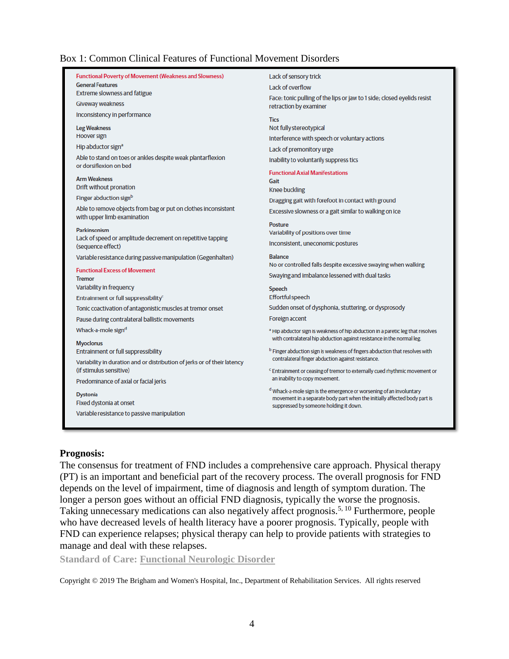### Box 1: Common Clinical Features of Functional Movement Disorders

| <b>Functional Poverty of Movement (Weakness and Slowness)</b>                         | Lack of sensory trick                                                                                                                            |
|---------------------------------------------------------------------------------------|--------------------------------------------------------------------------------------------------------------------------------------------------|
| <b>General Features</b>                                                               | Lack of overflow                                                                                                                                 |
| Extreme slowness and fatigue                                                          | Face: tonic pulling of the lips or jaw to 1 side; closed eyelids resist                                                                          |
| Giveway weakness                                                                      | retraction by examiner                                                                                                                           |
| Inconsistency in performance                                                          | <b>Tics</b>                                                                                                                                      |
| <b>Leg Weakness</b>                                                                   | Not fully stereotypical                                                                                                                          |
| Hoover sign                                                                           | Interference with speech or voluntary actions                                                                                                    |
| Hip abductor sign <sup>a</sup>                                                        | Lack of premonitory urge                                                                                                                         |
| Able to stand on toes or ankles despite weak plantarflexion<br>or dorsiflexion on bed | Inability to voluntarily suppress tics                                                                                                           |
| <b>Arm Weakness</b>                                                                   | <b>Functional Axial Manifestations</b>                                                                                                           |
| Drift without pronation                                                               | Gait<br>Knee buckling                                                                                                                            |
| Finger abduction signb                                                                | Dragging gait with forefoot in contact with ground                                                                                               |
| Able to remove objects from bag or put on clothes inconsistent                        | Excessive slowness or a gait similar to walking on ice                                                                                           |
| with upper limb examination                                                           |                                                                                                                                                  |
| <b>Parkinsonism</b>                                                                   | Posture                                                                                                                                          |
| Lack of speed or amplitude decrement on repetitive tapping                            | Variability of positions over time                                                                                                               |
| (sequence effect)                                                                     | Inconsistent, uneconomic postures                                                                                                                |
| Variable resistance during passive manipulation (Gegenhalten)                         | <b>Balance</b>                                                                                                                                   |
| <b>Functional Excess of Movement</b>                                                  | No or controlled falls despite excessive swaying when walking                                                                                    |
| <b>Tremor</b>                                                                         | Swaying and imbalance lessened with dual tasks                                                                                                   |
| Variability in frequency                                                              | <b>Speech</b>                                                                                                                                    |
| Entrainment or full suppressibility <sup>c</sup>                                      | <b>Effortful speech</b>                                                                                                                          |
| Tonic coactivation of antagonistic muscles at tremor onset                            | Sudden onset of dysphonia, stuttering, or dysprosody                                                                                             |
| Pause during contralateral ballistic movements                                        | Foreign accent                                                                                                                                   |
| Whack-a-mole sign <sup>d</sup>                                                        | a Hip abductor sign is weakness of hip abduction in a paretic leg that resolves                                                                  |
| <b>Myoclonus</b>                                                                      | with contralateral hip abduction against resistance in the normal leg.                                                                           |
| Entrainment or full suppressibility                                                   | <sup>b</sup> Finger abduction sign is weakness of fingers abduction that resolves with                                                           |
| Variability in duration and or distribution of jerks or of their latency              | contralateral finger abduction against resistance.                                                                                               |
| (if stimulus sensitive)                                                               | <sup>c</sup> Entrainment or ceasing of tremor to externally cued rhythmic movement or                                                            |
| Predominance of axial or facial jerks                                                 | an inability to copy movement.                                                                                                                   |
| <b>Dystonia</b>                                                                       | d Whack-a-mole sign is the emergence or worsening of an involuntary<br>movement in a separate body part when the initially affected body part is |
| Fixed dystonia at onset                                                               | suppressed by someone holding it down.                                                                                                           |
| Variable resistance to passive manipulation                                           |                                                                                                                                                  |
|                                                                                       |                                                                                                                                                  |
|                                                                                       |                                                                                                                                                  |

#### **Prognosis:**

The consensus for treatment of FND includes a comprehensive care approach. Physical therapy (PT) is an important and beneficial part of the recovery process. The overall prognosis for FND depends on the level of impairment, time of diagnosis and length of symptom duration. The longer a person goes without an official FND diagnosis, typically the worse the prognosis. Taking unnecessary medications can also negatively affect prognosis.<sup>5, 10</sup> Furthermore, people who have decreased levels of health literacy have a poorer prognosis. Typically, people with FND can experience relapses; physical therapy can help to provide patients with strategies to manage and deal with these relapses.

**Standard of Care: Functional Neurologic Disorder**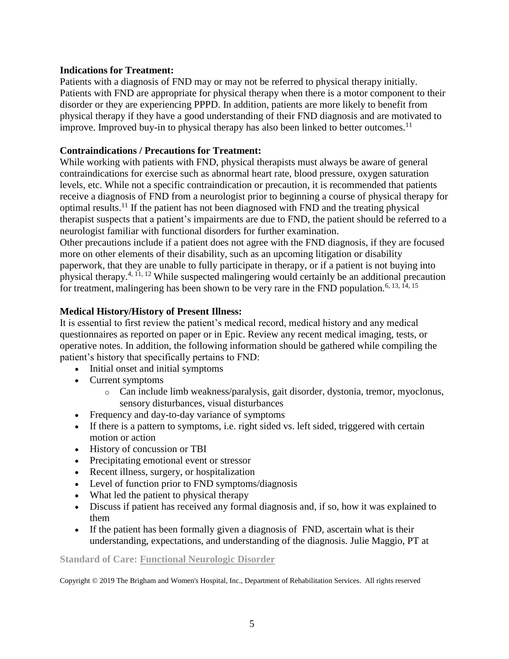## **Indications for Treatment:**

Patients with a diagnosis of FND may or may not be referred to physical therapy initially. Patients with FND are appropriate for physical therapy when there is a motor component to their disorder or they are experiencing PPPD. In addition, patients are more likely to benefit from physical therapy if they have a good understanding of their FND diagnosis and are motivated to improve. Improved buy-in to physical therapy has also been linked to better outcomes.<sup>11</sup>

## **Contraindications / Precautions for Treatment:**

While working with patients with FND, physical therapists must always be aware of general contraindications for exercise such as abnormal heart rate, blood pressure, oxygen saturation levels, etc. While not a specific contraindication or precaution, it is recommended that patients receive a diagnosis of FND from a neurologist prior to beginning a course of physical therapy for optimal results.<sup>11</sup> If the patient has not been diagnosed with FND and the treating physical therapist suspects that a patient's impairments are due to FND, the patient should be referred to a neurologist familiar with functional disorders for further examination.

Other precautions include if a patient does not agree with the FND diagnosis, if they are focused more on other elements of their disability, such as an upcoming litigation or disability paperwork, that they are unable to fully participate in therapy, or if a patient is not buying into physical therapy.4, 11, 12 While suspected malingering would certainly be an additional precaution for treatment, malingering has been shown to be very rare in the FND population.<sup>6, 13, 14, 15</sup>

## **Medical History/History of Present Illness:**

It is essential to first review the patient's medical record, medical history and any medical questionnaires as reported on paper or in Epic. Review any recent medical imaging, tests, or operative notes. In addition, the following information should be gathered while compiling the patient's history that specifically pertains to FND:

- Initial onset and initial symptoms
- Current symptoms
	- o Can include limb weakness/paralysis, gait disorder, dystonia, tremor, myoclonus, sensory disturbances, visual disturbances
- Frequency and day-to-day variance of symptoms
- If there is a pattern to symptoms, i.e. right sided vs. left sided, triggered with certain motion or action
- History of concussion or TBI
- Precipitating emotional event or stressor
- Recent illness, surgery, or hospitalization
- Level of function prior to FND symptoms/diagnosis
- What led the patient to physical therapy
- Discuss if patient has received any formal diagnosis and, if so, how it was explained to them
- If the patient has been formally given a diagnosis of FND, ascertain what is their understanding, expectations, and understanding of the diagnosis. Julie Maggio, PT at

#### **Standard of Care: Functional Neurologic Disorder**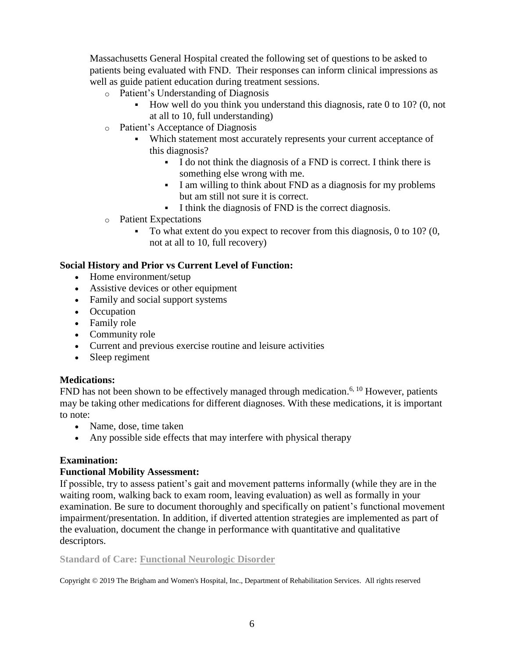Massachusetts General Hospital created the following set of questions to be asked to patients being evaluated with FND. Their responses can inform clinical impressions as well as guide patient education during treatment sessions.

- o Patient's Understanding of Diagnosis
	- How well do you think you understand this diagnosis, rate 0 to 10? (0, not at all to 10, full understanding)
- o Patient's Acceptance of Diagnosis
	- Which statement most accurately represents your current acceptance of this diagnosis?
		- I do not think the diagnosis of a FND is correct. I think there is something else wrong with me.
		- I am willing to think about FND as a diagnosis for my problems but am still not sure it is correct.
		- I think the diagnosis of FND is the correct diagnosis.
- o Patient Expectations
	- To what extent do you expect to recover from this diagnosis, 0 to 10? (0, not at all to 10, full recovery)

# **Social History and Prior vs Current Level of Function:**

- Home environment/setup
- Assistive devices or other equipment
- Family and social support systems
- Occupation
- Family role
- Community role
- Current and previous exercise routine and leisure activities
- Sleep regiment

# **Medications:**

FND has not been shown to be effectively managed through medication.<sup>6, 10</sup> However, patients may be taking other medications for different diagnoses. With these medications, it is important to note:

- Name, dose, time taken
- Any possible side effects that may interfere with physical therapy

# **Examination:**

# **Functional Mobility Assessment:**

If possible, try to assess patient's gait and movement patterns informally (while they are in the waiting room, walking back to exam room, leaving evaluation) as well as formally in your examination. Be sure to document thoroughly and specifically on patient's functional movement impairment/presentation. In addition, if diverted attention strategies are implemented as part of the evaluation, document the change in performance with quantitative and qualitative descriptors.

# **Standard of Care: Functional Neurologic Disorder**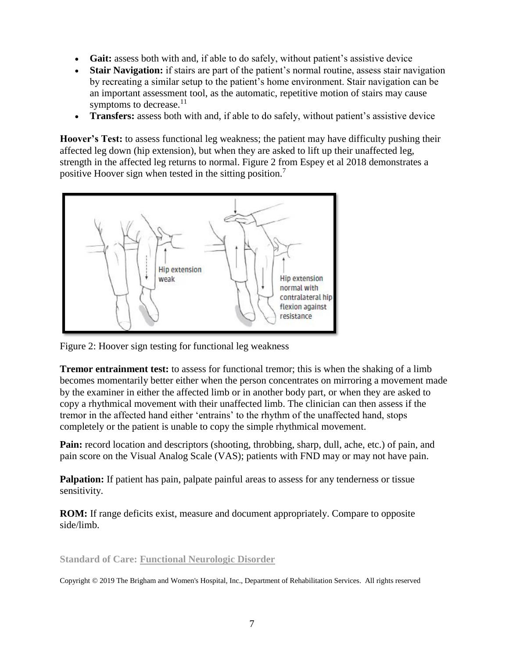- **Gait:** assess both with and, if able to do safely, without patient's assistive device
- **Stair Navigation:** if stairs are part of the patient's normal routine, assess stair navigation by recreating a similar setup to the patient's home environment. Stair navigation can be an important assessment tool, as the automatic, repetitive motion of stairs may cause symptoms to decrease.<sup>11</sup>
- **Transfers:** assess both with and, if able to do safely, without patient's assistive device

**Hoover's Test:** to assess functional leg weakness; the patient may have difficulty pushing their affected leg down (hip extension), but when they are asked to lift up their unaffected leg, strength in the affected leg returns to normal. Figure 2 from Espey et al 2018 demonstrates a positive Hoover sign when tested in the sitting position.<sup>7</sup>



Figure 2: Hoover sign testing for functional leg weakness

**Tremor entrainment test:** to assess for functional tremor; this is when the shaking of a limb becomes momentarily better either when the person concentrates on mirroring a movement made by the examiner in either the affected limb or in another body part, or when they are asked to copy a rhythmical movement with their unaffected limb. The clinician can then assess if the tremor in the affected hand either 'entrains' to the rhythm of the unaffected hand, stops completely or the patient is unable to copy the simple rhythmical movement.

**Pain:** record location and descriptors (shooting, throbbing, sharp, dull, ache, etc.) of pain, and pain score on the Visual Analog Scale (VAS); patients with FND may or may not have pain.

**Palpation:** If patient has pain, palpate painful areas to assess for any tenderness or tissue sensitivity.

**ROM:** If range deficits exist, measure and document appropriately. Compare to opposite side/limb.

**Standard of Care: Functional Neurologic Disorder**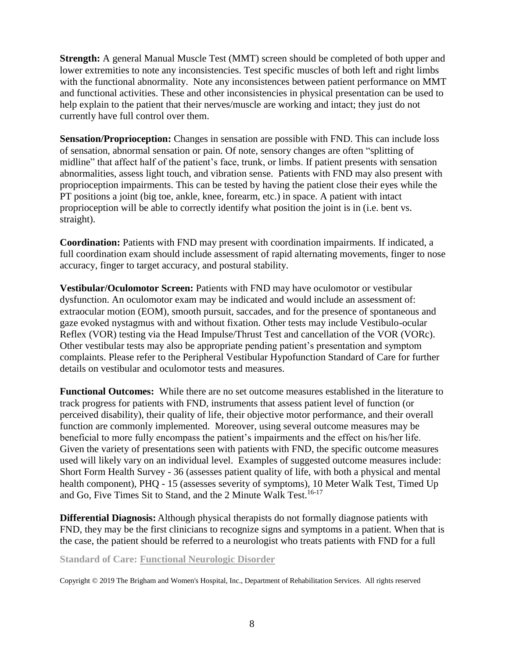**Strength:** A general Manual Muscle Test (MMT) screen should be completed of both upper and lower extremities to note any inconsistencies. Test specific muscles of both left and right limbs with the functional abnormality. Note any inconsistences between patient performance on MMT and functional activities. These and other inconsistencies in physical presentation can be used to help explain to the patient that their nerves/muscle are working and intact; they just do not currently have full control over them.

**Sensation/Proprioception:** Changes in sensation are possible with FND. This can include loss of sensation, abnormal sensation or pain. Of note, sensory changes are often "splitting of midline" that affect half of the patient's face, trunk, or limbs. If patient presents with sensation abnormalities, assess light touch, and vibration sense. Patients with FND may also present with proprioception impairments. This can be tested by having the patient close their eyes while the PT positions a joint (big toe, ankle, knee, forearm, etc.) in space. A patient with intact proprioception will be able to correctly identify what position the joint is in (i.e. bent vs. straight).

**Coordination:** Patients with FND may present with coordination impairments. If indicated, a full coordination exam should include assessment of rapid alternating movements, finger to nose accuracy, finger to target accuracy, and postural stability.

**Vestibular/Oculomotor Screen:** Patients with FND may have oculomotor or vestibular dysfunction. An oculomotor exam may be indicated and would include an assessment of: extraocular motion (EOM), smooth pursuit, saccades, and for the presence of spontaneous and gaze evoked nystagmus with and without fixation. Other tests may include Vestibulo-ocular Reflex (VOR) testing via the Head Impulse/Thrust Test and cancellation of the VOR (VORc). Other vestibular tests may also be appropriate pending patient's presentation and symptom complaints. Please refer to the Peripheral Vestibular Hypofunction Standard of Care for further details on vestibular and oculomotor tests and measures.

**Functional Outcomes:** While there are no set outcome measures established in the literature to track progress for patients with FND, instruments that assess patient level of function (or perceived disability), their quality of life, their objective motor performance, and their overall function are commonly implemented. Moreover, using several outcome measures may be beneficial to more fully encompass the patient's impairments and the effect on his/her life. Given the variety of presentations seen with patients with FND, the specific outcome measures used will likely vary on an individual level. Examples of suggested outcome measures include: Short Form Health Survey - 36 (assesses patient quality of life, with both a physical and mental health component), PHQ - 15 (assesses severity of symptoms), 10 Meter Walk Test, Timed Up and Go, Five Times Sit to Stand, and the 2 Minute Walk Test.<sup>16-17</sup>

**Differential Diagnosis:** Although physical therapists do not formally diagnose patients with FND, they may be the first clinicians to recognize signs and symptoms in a patient. When that is the case, the patient should be referred to a neurologist who treats patients with FND for a full

**Standard of Care: Functional Neurologic Disorder**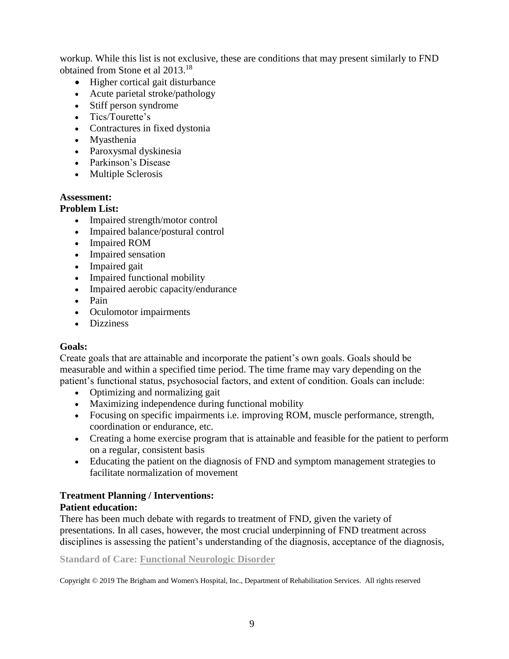workup. While this list is not exclusive, these are conditions that may present similarly to FND obtained from Stone et al 2013. 18

- Higher cortical gait disturbance
- Acute parietal stroke/pathology
- Stiff person syndrome
- Tics/Tourette's
- Contractures in fixed dystonia
- Myasthenia
- Paroxysmal dyskinesia
- Parkinson's Disease
- Multiple Sclerosis

# **Assessment:**

# **Problem List:**

- Impaired strength/motor control
- Impaired balance/postural control
- Impaired ROM
- Impaired sensation
- Impaired gait
- Impaired functional mobility
- Impaired aerobic capacity/endurance
- Pain
- Oculomotor impairments
- Dizziness

# **Goals:**

Create goals that are attainable and incorporate the patient's own goals. Goals should be measurable and within a specified time period. The time frame may vary depending on the patient's functional status, psychosocial factors, and extent of condition. Goals can include:

- Optimizing and normalizing gait
- Maximizing independence during functional mobility
- Focusing on specific impairments i.e. improving ROM, muscle performance, strength, coordination or endurance, etc.
- Creating a home exercise program that is attainable and feasible for the patient to perform on a regular, consistent basis
- Educating the patient on the diagnosis of FND and symptom management strategies to facilitate normalization of movement

# **Treatment Planning / Interventions:**

# **Patient education:**

There has been much debate with regards to treatment of FND, given the variety of presentations. In all cases, however, the most crucial underpinning of FND treatment across disciplines is assessing the patient's understanding of the diagnosis, acceptance of the diagnosis,

**Standard of Care: Functional Neurologic Disorder**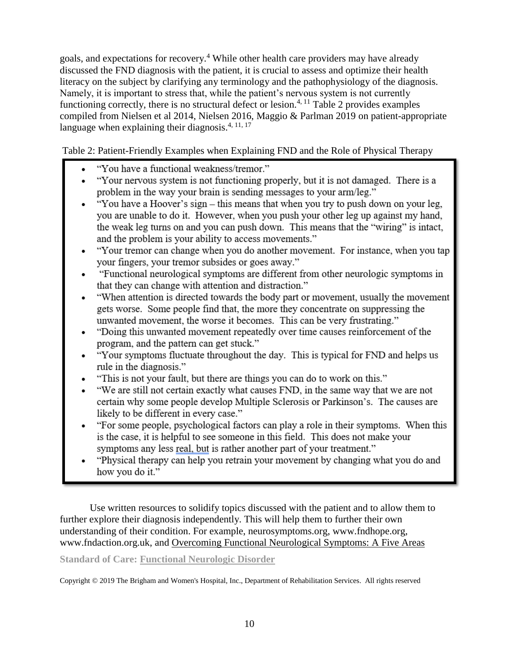goals, and expectations for recovery.<sup>4</sup> While other health care providers may have already discussed the FND diagnosis with the patient, it is crucial to assess and optimize their health literacy on the subject by clarifying any terminology and the pathophysiology of the diagnosis. Namely, it is important to stress that, while the patient's nervous system is not currently functioning correctly, there is no structural defect or lesion.<sup>4, 11</sup> Table 2 provides examples compiled from Nielsen et al 2014, Nielsen 2016, Maggio & Parlman 2019 on patient-appropriate language when explaining their diagnosis. $4, 11, 17$ 

Table 2: Patient-Friendly Examples when Explaining FND and the Role of Physical Therapy

- "You have a functional weakness/tremor."
- "Your nervous system is not functioning properly, but it is not damaged. There is a problem in the way your brain is sending messages to your arm/leg."
- "You have a Hoover's sign this means that when you try to push down on your leg, you are unable to do it. However, when you push your other leg up against my hand, the weak leg turns on and you can push down. This means that the "wiring" is intact, and the problem is your ability to access movements."
- "Your tremor can change when you do another movement. For instance, when you tap vour fingers, your tremor subsides or goes away."
- "Functional neurological symptoms are different from other neurologic symptoms in that they can change with attention and distraction."
- "When attention is directed towards the body part or movement, usually the movement gets worse. Some people find that, the more they concentrate on suppressing the unwanted movement, the worse it becomes. This can be very frustrating."
- "Doing this unwanted movement repeatedly over time causes reinforcement of the program, and the pattern can get stuck."
- "Your symptoms fluctuate throughout the day. This is typical for FND and helps us rule in the diagnosis."
- "This is not your fault, but there are things you can do to work on this."
- "We are still not certain exactly what causes FND, in the same way that we are not certain why some people develop Multiple Sclerosis or Parkinson's. The causes are likely to be different in every case."
- "For some people, psychological factors can play a role in their symptoms. When this is the case, it is helpful to see someone in this field. This does not make your symptoms any less real, but is rather another part of your treatment."
- "Physical therapy can help you retrain your movement by changing what you do and how you do it."

Use written resources to solidify topics discussed with the patient and to allow them to further explore their diagnosis independently. This will help them to further their own understanding of their condition. For example, neurosymptoms.org, www.fndhope.org, www.fndaction.org.uk, and Overcoming Functional Neurological Symptoms: A Five Areas

# **Standard of Care: Functional Neurologic Disorder**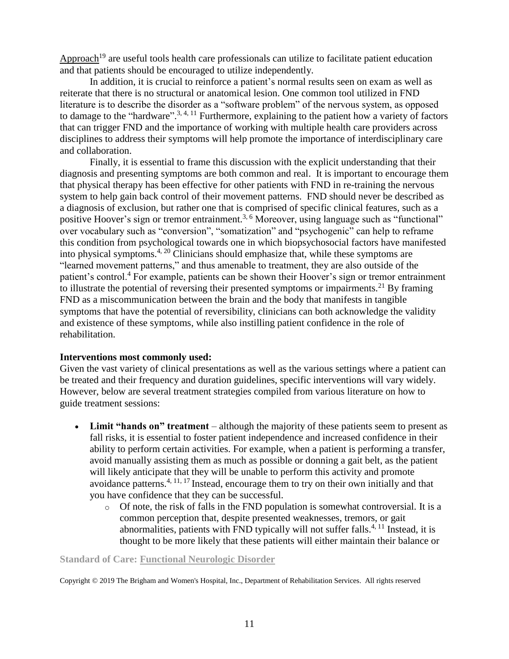Approach<sup>19</sup> are useful tools health care professionals can utilize to facilitate patient education and that patients should be encouraged to utilize independently.

In addition, it is crucial to reinforce a patient's normal results seen on exam as well as reiterate that there is no structural or anatomical lesion. One common tool utilized in FND literature is to describe the disorder as a "software problem" of the nervous system, as opposed to damage to the "hardware".<sup>3, 4, 11</sup> Furthermore, explaining to the patient how a variety of factors that can trigger FND and the importance of working with multiple health care providers across disciplines to address their symptoms will help promote the importance of interdisciplinary care and collaboration.

Finally, it is essential to frame this discussion with the explicit understanding that their diagnosis and presenting symptoms are both common and real. It is important to encourage them that physical therapy has been effective for other patients with FND in re-training the nervous system to help gain back control of their movement patterns. FND should never be described as a diagnosis of exclusion, but rather one that is comprised of specific clinical features, such as a positive Hoover's sign or tremor entrainment.<sup>3, 6</sup> Moreover, using language such as "functional" over vocabulary such as "conversion", "somatization" and "psychogenic" can help to reframe this condition from psychological towards one in which biopsychosocial factors have manifested into physical symptoms.<sup>4, 20</sup> Clinicians should emphasize that, while these symptoms are "learned movement patterns," and thus amenable to treatment, they are also outside of the patient's control.<sup>4</sup> For example, patients can be shown their Hoover's sign or tremor entrainment to illustrate the potential of reversing their presented symptoms or impairments.<sup>21</sup> By framing FND as a miscommunication between the brain and the body that manifests in tangible symptoms that have the potential of reversibility, clinicians can both acknowledge the validity and existence of these symptoms, while also instilling patient confidence in the role of rehabilitation.

### **Interventions most commonly used:**

Given the vast variety of clinical presentations as well as the various settings where a patient can be treated and their frequency and duration guidelines, specific interventions will vary widely. However, below are several treatment strategies compiled from various literature on how to guide treatment sessions:

- Limit "hands on" treatment although the majority of these patients seem to present as fall risks, it is essential to foster patient independence and increased confidence in their ability to perform certain activities. For example, when a patient is performing a transfer, avoid manually assisting them as much as possible or donning a gait belt, as the patient will likely anticipate that they will be unable to perform this activity and promote avoidance patterns.<sup>4, 11, 17</sup> Instead, encourage them to try on their own initially and that you have confidence that they can be successful.
	- $\circ$  Of note, the risk of falls in the FND population is somewhat controversial. It is a common perception that, despite presented weaknesses, tremors, or gait abnormalities, patients with FND typically will not suffer falls. $4,11$  Instead, it is thought to be more likely that these patients will either maintain their balance or

#### **Standard of Care: Functional Neurologic Disorder**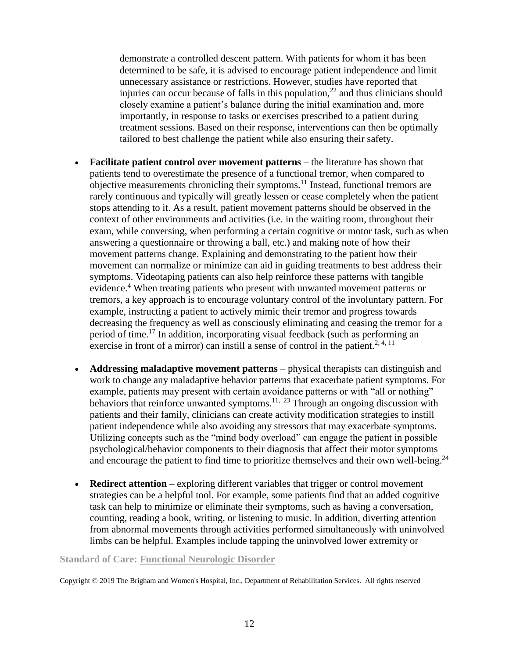demonstrate a controlled descent pattern. With patients for whom it has been determined to be safe, it is advised to encourage patient independence and limit unnecessary assistance or restrictions. However, studies have reported that injuries can occur because of falls in this population, $^{22}$  and thus clinicians should closely examine a patient's balance during the initial examination and, more importantly, in response to tasks or exercises prescribed to a patient during treatment sessions. Based on their response, interventions can then be optimally tailored to best challenge the patient while also ensuring their safety.

- **Facilitate patient control over movement patterns** the literature has shown that patients tend to overestimate the presence of a functional tremor, when compared to objective measurements chronicling their symptoms.<sup>11</sup> Instead, functional tremors are rarely continuous and typically will greatly lessen or cease completely when the patient stops attending to it. As a result, patient movement patterns should be observed in the context of other environments and activities (i.e. in the waiting room, throughout their exam, while conversing, when performing a certain cognitive or motor task, such as when answering a questionnaire or throwing a ball, etc.) and making note of how their movement patterns change. Explaining and demonstrating to the patient how their movement can normalize or minimize can aid in guiding treatments to best address their symptoms. Videotaping patients can also help reinforce these patterns with tangible evidence.<sup>4</sup> When treating patients who present with unwanted movement patterns or tremors, a key approach is to encourage voluntary control of the involuntary pattern. For example, instructing a patient to actively mimic their tremor and progress towards decreasing the frequency as well as consciously eliminating and ceasing the tremor for a period of time.<sup>17</sup> In addition, incorporating visual feedback (such as performing an exercise in front of a mirror) can instill a sense of control in the patient.<sup>2, 4, 11</sup>
- **Addressing maladaptive movement patterns** physical therapists can distinguish and work to change any maladaptive behavior patterns that exacerbate patient symptoms. For example, patients may present with certain avoidance patterns or with "all or nothing" behaviors that reinforce unwanted symptoms.<sup>11, 23</sup> Through an ongoing discussion with patients and their family, clinicians can create activity modification strategies to instill patient independence while also avoiding any stressors that may exacerbate symptoms. Utilizing concepts such as the "mind body overload" can engage the patient in possible psychological/behavior components to their diagnosis that affect their motor symptoms and encourage the patient to find time to prioritize themselves and their own well-being.<sup>24</sup>
- **Redirect attention** exploring different variables that trigger or control movement strategies can be a helpful tool. For example, some patients find that an added cognitive task can help to minimize or eliminate their symptoms, such as having a conversation, counting, reading a book, writing, or listening to music. In addition, diverting attention from abnormal movements through activities performed simultaneously with uninvolved limbs can be helpful. Examples include tapping the uninvolved lower extremity or

#### **Standard of Care: Functional Neurologic Disorder**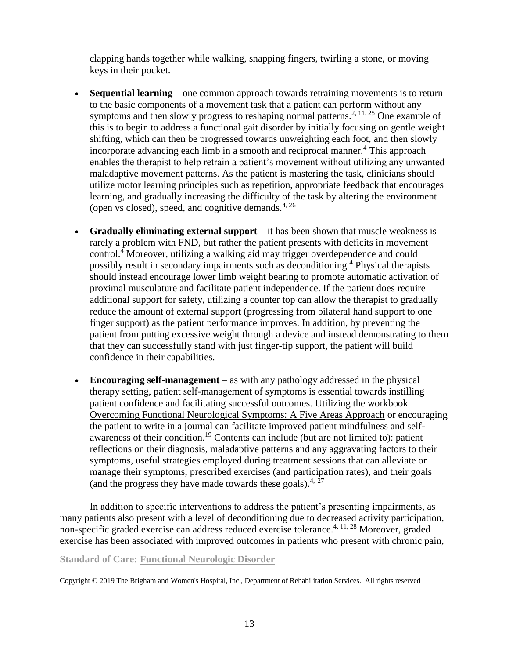clapping hands together while walking, snapping fingers, twirling a stone, or moving keys in their pocket.

- **Sequential learning** one common approach towards retraining movements is to return to the basic components of a movement task that a patient can perform without any symptoms and then slowly progress to reshaping normal patterns.<sup>2, 11, 25</sup> One example of this is to begin to address a functional gait disorder by initially focusing on gentle weight shifting, which can then be progressed towards unweighting each foot, and then slowly incorporate advancing each limb in a smooth and reciprocal manner.<sup>4</sup> This approach enables the therapist to help retrain a patient's movement without utilizing any unwanted maladaptive movement patterns. As the patient is mastering the task, clinicians should utilize motor learning principles such as repetition, appropriate feedback that encourages learning, and gradually increasing the difficulty of the task by altering the environment (open vs closed), speed, and cognitive demands.<sup>4, 26</sup>
- **Gradually eliminating external support** it has been shown that muscle weakness is rarely a problem with FND, but rather the patient presents with deficits in movement control.<sup>4</sup> Moreover, utilizing a walking aid may trigger overdependence and could possibly result in secondary impairments such as deconditioning.<sup>4</sup> Physical therapists should instead encourage lower limb weight bearing to promote automatic activation of proximal musculature and facilitate patient independence. If the patient does require additional support for safety, utilizing a counter top can allow the therapist to gradually reduce the amount of external support (progressing from bilateral hand support to one finger support) as the patient performance improves. In addition, by preventing the patient from putting excessive weight through a device and instead demonstrating to them that they can successfully stand with just finger-tip support, the patient will build confidence in their capabilities.
- **Encouraging self-management** as with any pathology addressed in the physical therapy setting, patient self-management of symptoms is essential towards instilling patient confidence and facilitating successful outcomes. Utilizing the workbook Overcoming Functional Neurological Symptoms: A Five Areas Approach or encouraging the patient to write in a journal can facilitate improved patient mindfulness and selfawareness of their condition.<sup>19</sup> Contents can include (but are not limited to): patient reflections on their diagnosis, maladaptive patterns and any aggravating factors to their symptoms, useful strategies employed during treatment sessions that can alleviate or manage their symptoms, prescribed exercises (and participation rates), and their goals (and the progress they have made towards these goals). $4, 27$

In addition to specific interventions to address the patient's presenting impairments, as many patients also present with a level of deconditioning due to decreased activity participation, non-specific graded exercise can address reduced exercise tolerance.4, 11, 28 Moreover, graded exercise has been associated with improved outcomes in patients who present with chronic pain,

### **Standard of Care: Functional Neurologic Disorder**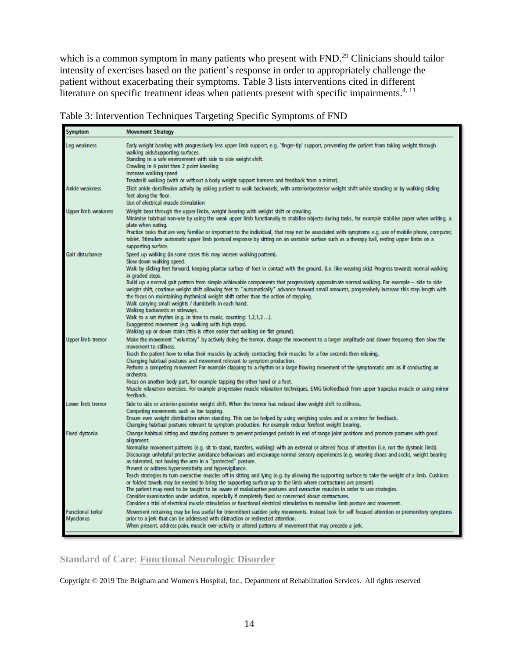which is a common symptom in many patients who present with FND.<sup>29</sup> Clinicians should tailor intensity of exercises based on the patient's response in order to appropriately challenge the patient without exacerbating their symptoms. Table 3 lists interventions cited in different literature on specific treatment ideas when patients present with specific impairments.<sup>4, 11</sup>

|  |  | Table 3: Intervention Techniques Targeting Specific Symptoms of FND |
|--|--|---------------------------------------------------------------------|
|  |  |                                                                     |

| Symptom                               | <b>Movement Strategy</b>                                                                                                                                                                                                                                                                                                                                                                                                                                                                                                                                                                                                                                                                                                                                                                                                                                                                                                                                                                                                                                                                                                                                                                                                          |
|---------------------------------------|-----------------------------------------------------------------------------------------------------------------------------------------------------------------------------------------------------------------------------------------------------------------------------------------------------------------------------------------------------------------------------------------------------------------------------------------------------------------------------------------------------------------------------------------------------------------------------------------------------------------------------------------------------------------------------------------------------------------------------------------------------------------------------------------------------------------------------------------------------------------------------------------------------------------------------------------------------------------------------------------------------------------------------------------------------------------------------------------------------------------------------------------------------------------------------------------------------------------------------------|
| Leg weakness                          | Early weight bearing with progressively less upper limb support, e.g. 'finger-tip' support, preventing the patient from taking weight through<br>walking aids/supporting surfaces.<br>Standing in a safe environment with side to side weight shift.<br>Crawling in 4 point then 2 point kneeling<br>Increase walking speed<br>Treadmill walking (with or without a body weight support hamess and feedback from a mirror).                                                                                                                                                                                                                                                                                                                                                                                                                                                                                                                                                                                                                                                                                                                                                                                                       |
| Ankle weakness                        | Elicit ankle dorsiflexion activity by asking patient to walk backwards, with anterior/posterior weight shift while standing or by walking sliding<br>feet along the floor.<br>Use of electrical muscle stimulation                                                                                                                                                                                                                                                                                                                                                                                                                                                                                                                                                                                                                                                                                                                                                                                                                                                                                                                                                                                                                |
| Upper limb weakness                   | Weight bear through the upper limbs, weight bearing with weight shift or crawling.<br>Minimise habitual non-use by using the weak upper limb functionally to stabilise objects during tasks, for example stabilise paper when writing, a<br>plate when eating.<br>Practice tasks that are very familiar or important to the individual, that may not be associated with symptoms e.g. use of mobile phone, computer,<br>tablet. Stimulate automatic upper limb postural response by sitting on an unstable surface such as a therapy ball, resting upper limbs on a<br>supporting surface.                                                                                                                                                                                                                                                                                                                                                                                                                                                                                                                                                                                                                                        |
| Gait disturbance                      | Speed up walking (in some cases this may worsen walking pattem).<br>Slow down walking speed.<br>Walk by sliding feet forward, keeping plantar surface of foot in contact with the ground. (i.e. like wearing skis) Progress towards normal walking<br>in graded steps.<br>Build up a normal gait pattern from simple achievable components that progressively approximate normal walking. For example - side to side<br>weight shift, continue weight shift allowing feet to "automatically" advance forward small amounts, progressively increase this step length with<br>the focus on maintaining rhythmical weight shift rather than the action of stepping.<br>Walk carrying small weights / dumbbells in each hand.<br>Walking backwards or sideways.<br>Walk to a set rhythm (e.g. in time to music, counting: 1,2,1,2).<br>Exaggerated movement (e.g. walking with high steps).<br>Walking up or down stairs (this is often easier that walking on flat ground).                                                                                                                                                                                                                                                          |
| <b>Upper limb tremor</b>              | Make the movement "voluntary" by actively doing the tremor, change the movement to a larger amplitude and slower frequency then slow the<br>movement to stillness.<br>Teach the patient how to relax their muscles by actively contracting their muscles for a few seconds then relaxing.<br>Changing habitual postures and movement relevant to symptom production.<br>Perform a competing movement For example clapping to a rhythm or a large flowing movement of the symptomatic arm as if conducting an<br>orchestra.<br>Focus on another body part, for example tapping the other hand or a foot.<br>Muscle relaxation exercises. For example progressive muscle relaxation techniques, EMG biofeedback from upper trapezius muscle or using mirror<br>feedback.                                                                                                                                                                                                                                                                                                                                                                                                                                                            |
| Lower limb tremor                     | Side to side or anterior-posterior weight shift. When the tremor has reduced slow weight shift to stillness.<br>Competing movements such as toe tapping.<br>Ensure even weight distribution when standing. This can be helped by using weighing scales and or a mirror for feedback.<br>Changing habitual postures relevant to symptom production. For example reduce forefoot weight bearing.                                                                                                                                                                                                                                                                                                                                                                                                                                                                                                                                                                                                                                                                                                                                                                                                                                    |
| Fixed dystonia                        | Change habitual sitting and standing postures to prevent prolonged periods in end of range joint positions and promote postures with good<br>alignment.<br>Normalise movement pattems (e.g. sit to stand, transfers, walking) with an external or altered focus of attention (i.e. not the dystonic limb).<br>Discourage unhelpful protective avoidance behaviours and encourage normal sensory experiences (e.g. wearing shoes and socks, weight bearing<br>as tolerated, not having the arm in a "protected" posture.<br>Prevent or address hypersensitivity and hypervigilance.<br>Teach strategies to tum overactive muscles off in sitting and lying (e.g. by allowing the supporting surface to take the weight of a limb. Cushions<br>or folded towels may be needed to bring the supporting surface up to the limb where contractures are present).<br>The patient may need to be taught to be aware of maladaptive postures and overactive muscles in order to use strategies.<br>Consider examination under sedation, especially if completely fixed or concerned about contractures.<br>Consider a trial of electrical muscle stimulation or functional electrical stimulation to normalise limb posture and movement. |
| <b>Functional Jerks/</b><br>Myoclonus | Movement retraining may be less useful for intermittent sudden jerky movements. Instead look for self focused attention or premonitory symptoms<br>prior to a jerk that can be addressed with distraction or redirected attention.<br>When present, address pain, muscle over-activity or altered patterns of movement that may precede a jerk.                                                                                                                                                                                                                                                                                                                                                                                                                                                                                                                                                                                                                                                                                                                                                                                                                                                                                   |

# **Standard of Care: Functional Neurologic Disorder**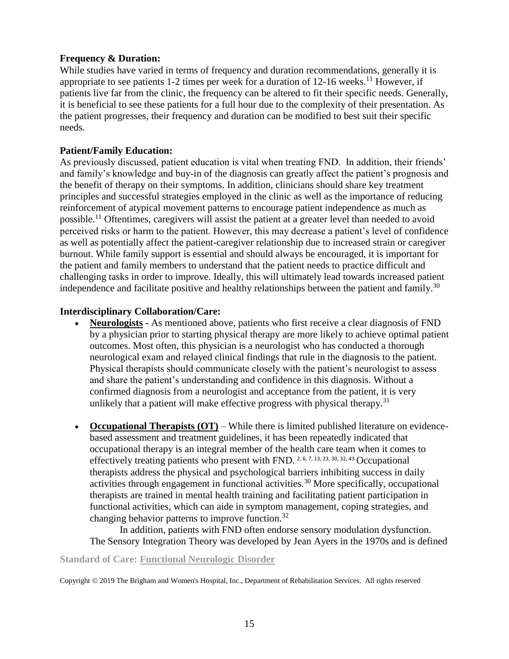### **Frequency & Duration:**

While studies have varied in terms of frequency and duration recommendations, generally it is appropriate to see patients 1-2 times per week for a duration of  $12{\text -}16$  weeks.<sup>11</sup> However, if patients live far from the clinic, the frequency can be altered to fit their specific needs. Generally, it is beneficial to see these patients for a full hour due to the complexity of their presentation. As the patient progresses, their frequency and duration can be modified to best suit their specific needs.

# **Patient/Family Education:**

As previously discussed, patient education is vital when treating FND. In addition, their friends' and family's knowledge and buy-in of the diagnosis can greatly affect the patient's prognosis and the benefit of therapy on their symptoms. In addition, clinicians should share key treatment principles and successful strategies employed in the clinic as well as the importance of reducing reinforcement of atypical movement patterns to encourage patient independence as much as possible.<sup>11</sup> Oftentimes, caregivers will assist the patient at a greater level than needed to avoid perceived risks or harm to the patient. However, this may decrease a patient's level of confidence as well as potentially affect the patient-caregiver relationship due to increased strain or caregiver burnout. While family support is essential and should always be encouraged, it is important for the patient and family members to understand that the patient needs to practice difficult and challenging tasks in order to improve. Ideally, this will ultimately lead towards increased patient independence and facilitate positive and healthy relationships between the patient and family.<sup>30</sup>

# **Interdisciplinary Collaboration/Care:**

- **Neurologists -** As mentioned above, patients who first receive a clear diagnosis of FND by a physician prior to starting physical therapy are more likely to achieve optimal patient outcomes. Most often, this physician is a neurologist who has conducted a thorough neurological exam and relayed clinical findings that rule in the diagnosis to the patient. Physical therapists should communicate closely with the patient's neurologist to assess and share the patient's understanding and confidence in this diagnosis. Without a confirmed diagnosis from a neurologist and acceptance from the patient, it is very unlikely that a patient will make effective progress with physical therapy.<sup>31</sup>
- **Occupational Therapists (OT)** While there is limited published literature on evidencebased assessment and treatment guidelines, it has been repeatedly indicated that occupational therapy is an integral member of the health care team when it comes to effectively treating patients who present with FND.  $^{2, 6, 7, 13, 23, 30, 32, 43}$  Occupational therapists address the physical and psychological barriers inhibiting success in daily activities through engagement in functional activities.<sup>30</sup> More specifically, occupational therapists are trained in mental health training and facilitating patient participation in functional activities, which can aide in symptom management, coping strategies, and changing behavior patterns to improve function.<sup>32</sup>

In addition, patients with FND often endorse sensory modulation dysfunction. The Sensory Integration Theory was developed by Jean Ayers in the 1970s and is defined

### **Standard of Care: Functional Neurologic Disorder**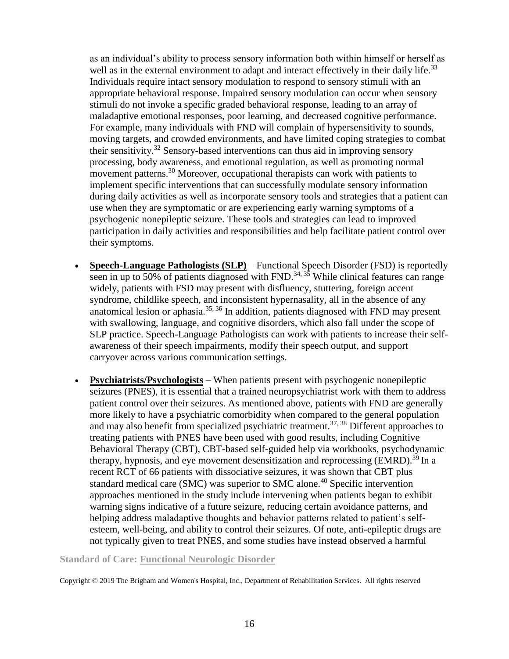as an individual's ability to process sensory information both within himself or herself as well as in the external environment to adapt and interact effectively in their daily life.<sup>33</sup> Individuals require intact sensory modulation to respond to sensory stimuli with an appropriate behavioral response. Impaired sensory modulation can occur when sensory stimuli do not invoke a specific graded behavioral response, leading to an array of maladaptive emotional responses, poor learning, and decreased cognitive performance. For example, many individuals with FND will complain of hypersensitivity to sounds, moving targets, and crowded environments, and have limited coping strategies to combat their sensitivity.<sup>32</sup> Sensory-based interventions can thus aid in improving sensory processing, body awareness, and emotional regulation, as well as promoting normal movement patterns.<sup>30</sup> Moreover, occupational therapists can work with patients to implement specific interventions that can successfully modulate sensory information during daily activities as well as incorporate sensory tools and strategies that a patient can use when they are symptomatic or are experiencing early warning symptoms of a psychogenic nonepileptic seizure. These tools and strategies can lead to improved participation in daily activities and responsibilities and help facilitate patient control over their symptoms.

- **Speech-Language Pathologists (SLP)** Functional Speech Disorder (FSD) is reportedly seen in up to 50% of patients diagnosed with FND.<sup>34, 35</sup> While clinical features can range widely, patients with FSD may present with disfluency, stuttering, foreign accent syndrome, childlike speech, and inconsistent hypernasality, all in the absence of any anatomical lesion or aphasia.<sup>35, 36</sup> In addition, patients diagnosed with FND may present with swallowing, language, and cognitive disorders, which also fall under the scope of SLP practice. Speech-Language Pathologists can work with patients to increase their selfawareness of their speech impairments, modify their speech output, and support carryover across various communication settings.
- **Psychiatrists/Psychologists** When patients present with psychogenic nonepileptic seizures (PNES), it is essential that a trained neuropsychiatrist work with them to address patient control over their seizures. As mentioned above, patients with FND are generally more likely to have a psychiatric comorbidity when compared to the general population and may also benefit from specialized psychiatric treatment.37, 38 Different approaches to treating patients with PNES have been used with good results, including Cognitive Behavioral Therapy (CBT), CBT-based self-guided help via workbooks, psychodynamic therapy, hypnosis, and eye movement desensitization and reprocessing (EMRD).<sup>39</sup> In a recent RCT of 66 patients with dissociative seizures, it was shown that CBT plus standard medical care (SMC) was superior to SMC alone.<sup>40</sup> Specific intervention approaches mentioned in the study include intervening when patients began to exhibit warning signs indicative of a future seizure, reducing certain avoidance patterns, and helping address maladaptive thoughts and behavior patterns related to patient's selfesteem, well-being, and ability to control their seizures. Of note, anti-epileptic drugs are not typically given to treat PNES, and some studies have instead observed a harmful

**Standard of Care: Functional Neurologic Disorder**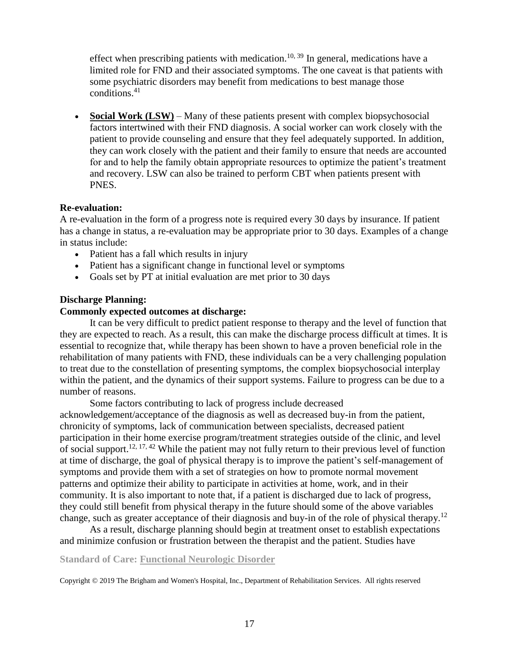effect when prescribing patients with medication.<sup>10, 39</sup> In general, medications have a limited role for FND and their associated symptoms. The one caveat is that patients with some psychiatric disorders may benefit from medications to best manage those conditions. $41$ 

• **Social Work (LSW)** – Many of these patients present with complex biopsychosocial factors intertwined with their FND diagnosis. A social worker can work closely with the patient to provide counseling and ensure that they feel adequately supported. In addition, they can work closely with the patient and their family to ensure that needs are accounted for and to help the family obtain appropriate resources to optimize the patient's treatment and recovery. LSW can also be trained to perform CBT when patients present with PNES.

### **Re-evaluation:**

A re-evaluation in the form of a progress note is required every 30 days by insurance. If patient has a change in status, a re-evaluation may be appropriate prior to 30 days. Examples of a change in status include:

- Patient has a fall which results in injury
- Patient has a significant change in functional level or symptoms
- Goals set by PT at initial evaluation are met prior to 30 days

### **Discharge Planning:**

### **Commonly expected outcomes at discharge:**

It can be very difficult to predict patient response to therapy and the level of function that they are expected to reach. As a result, this can make the discharge process difficult at times. It is essential to recognize that, while therapy has been shown to have a proven beneficial role in the rehabilitation of many patients with FND, these individuals can be a very challenging population to treat due to the constellation of presenting symptoms, the complex biopsychosocial interplay within the patient, and the dynamics of their support systems. Failure to progress can be due to a number of reasons.

Some factors contributing to lack of progress include decreased acknowledgement/acceptance of the diagnosis as well as decreased buy-in from the patient, chronicity of symptoms, lack of communication between specialists, decreased patient participation in their home exercise program/treatment strategies outside of the clinic, and level of social support.<sup>12, 17, 42</sup> While the patient may not fully return to their previous level of function at time of discharge, the goal of physical therapy is to improve the patient's self-management of symptoms and provide them with a set of strategies on how to promote normal movement patterns and optimize their ability to participate in activities at home, work, and in their community. It is also important to note that, if a patient is discharged due to lack of progress, they could still benefit from physical therapy in the future should some of the above variables change, such as greater acceptance of their diagnosis and buy-in of the role of physical therapy.<sup>12</sup>

As a result, discharge planning should begin at treatment onset to establish expectations and minimize confusion or frustration between the therapist and the patient. Studies have

### **Standard of Care: Functional Neurologic Disorder**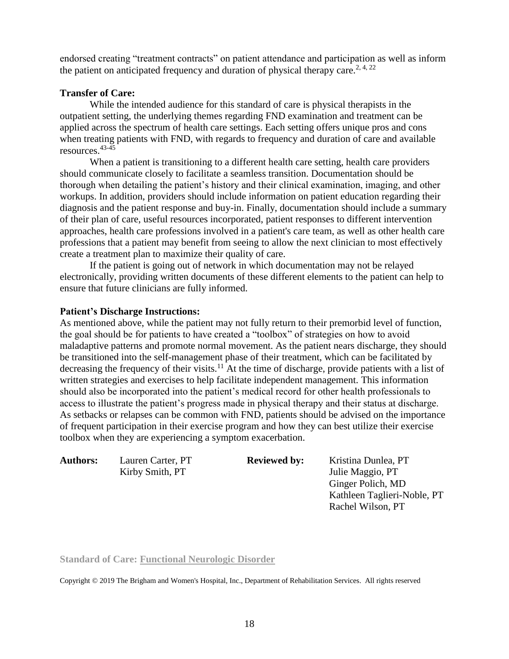endorsed creating "treatment contracts" on patient attendance and participation as well as inform the patient on anticipated frequency and duration of physical therapy care.<sup>2, 4, 22</sup>

### **Transfer of Care:**

While the intended audience for this standard of care is physical therapists in the outpatient setting, the underlying themes regarding FND examination and treatment can be applied across the spectrum of health care settings. Each setting offers unique pros and cons when treating patients with FND, with regards to frequency and duration of care and available resources.43-45

When a patient is transitioning to a different health care setting, health care providers should communicate closely to facilitate a seamless transition. Documentation should be thorough when detailing the patient's history and their clinical examination, imaging, and other workups. In addition, providers should include information on patient education regarding their diagnosis and the patient response and buy-in. Finally, documentation should include a summary of their plan of care, useful resources incorporated, patient responses to different intervention approaches, health care professions involved in a patient's care team, as well as other health care professions that a patient may benefit from seeing to allow the next clinician to most effectively create a treatment plan to maximize their quality of care.

If the patient is going out of network in which documentation may not be relayed electronically, providing written documents of these different elements to the patient can help to ensure that future clinicians are fully informed.

## **Patient's Discharge Instructions:**

As mentioned above, while the patient may not fully return to their premorbid level of function, the goal should be for patients to have created a "toolbox" of strategies on how to avoid maladaptive patterns and promote normal movement. As the patient nears discharge, they should be transitioned into the self-management phase of their treatment, which can be facilitated by decreasing the frequency of their visits.<sup>11</sup> At the time of discharge, provide patients with a list of written strategies and exercises to help facilitate independent management. This information should also be incorporated into the patient's medical record for other health professionals to access to illustrate the patient's progress made in physical therapy and their status at discharge. As setbacks or relapses can be common with FND, patients should be advised on the importance of frequent participation in their exercise program and how they can best utilize their exercise toolbox when they are experiencing a symptom exacerbation.

**Authors:** Lauren Carter, PT **Reviewed by:** Kristina Dunlea, PT

Kirby Smith, PT Julie Maggio, PT Ginger Polich, MD Kathleen Taglieri-Noble, PT Rachel Wilson, PT

**Standard of Care: Functional Neurologic Disorder**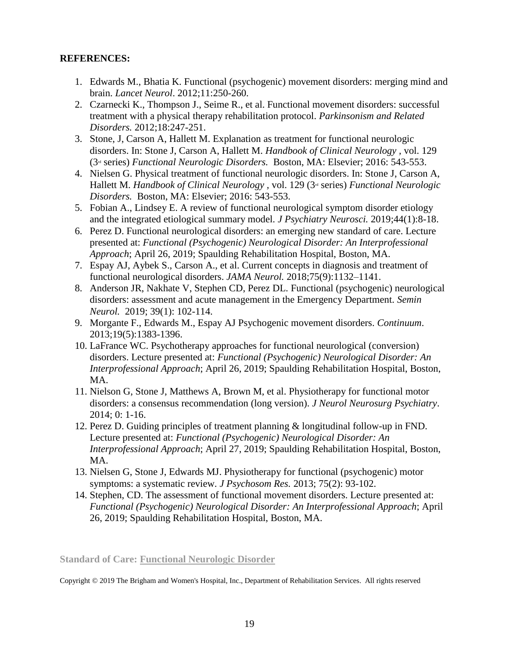# **REFERENCES:**

- 1. Edwards M., Bhatia K. Functional (psychogenic) movement disorders: merging mind and brain. *Lancet Neurol*. 2012;11:250-260.
- 2. Czarnecki K., Thompson J., Seime R., et al. Functional movement disorders: successful treatment with a physical therapy rehabilitation protocol. *Parkinsonism and Related Disorders.* 2012;18:247-251.
- 3. Stone, J, Carson A, Hallett M. Explanation as treatment for functional neurologic disorders. In: Stone J, Carson A, Hallett M. *Handbook of Clinical Neurology ,* vol. 129 (3rd series) *Functional Neurologic Disorders.* Boston, MA: Elsevier; 2016: 543-553.
- 4. Nielsen G. Physical treatment of functional neurologic disorders. In: Stone J, Carson A, Hallett M. *Handbook of Clinical Neurology*, vol. 129 (3<sup>d</sup> series) *Functional Neurologic Disorders.* Boston, MA: Elsevier; 2016: 543-553.
- 5. Fobian A., Lindsey E. A review of functional neurological symptom disorder etiology and the integrated etiological summary model. *J Psychiatry Neurosci.* 2019;44(1):8-18.
- 6. Perez D. Functional neurological disorders: an emerging new standard of care. Lecture presented at: *Functional (Psychogenic) Neurological Disorder: An Interprofessional Approach*; April 26, 2019; Spaulding Rehabilitation Hospital, Boston, MA.
- 7. Espay AJ, Aybek S., Carson A., et al. Current concepts in diagnosis and treatment of functional neurological disorders. *JAMA Neurol.* 2018;75(9):1132–1141.
- 8. Anderson JR, Nakhate V, Stephen CD, Perez DL. Functional (psychogenic) neurological disorders: assessment and acute management in the Emergency Department. *Semin Neurol.* 2019; 39(1): 102-114.
- 9. Morgante F., Edwards M., Espay AJ Psychogenic movement disorders. *Continuum*. 2013;19(5):1383-1396.
- 10. LaFrance WC. Psychotherapy approaches for functional neurological (conversion) disorders. Lecture presented at: *Functional (Psychogenic) Neurological Disorder: An Interprofessional Approach*; April 26, 2019; Spaulding Rehabilitation Hospital, Boston, MA.
- 11. Nielson G, Stone J, Matthews A, Brown M, et al. Physiotherapy for functional motor disorders: a consensus recommendation (long version). *J Neurol Neurosurg Psychiatry*. 2014; 0: 1-16.
- 12. Perez D. Guiding principles of treatment planning & longitudinal follow-up in FND. Lecture presented at: *Functional (Psychogenic) Neurological Disorder: An Interprofessional Approach*; April 27, 2019; Spaulding Rehabilitation Hospital, Boston, MA.
- 13. Nielsen G, Stone J, Edwards MJ. Physiotherapy for functional (psychogenic) motor symptoms: a systematic review. *J Psychosom Res.* 2013; 75(2): 93-102.
- 14. Stephen, CD. The assessment of functional movement disorders. Lecture presented at: *Functional (Psychogenic) Neurological Disorder: An Interprofessional Approach*; April 26, 2019; Spaulding Rehabilitation Hospital, Boston, MA.

**Standard of Care: Functional Neurologic Disorder**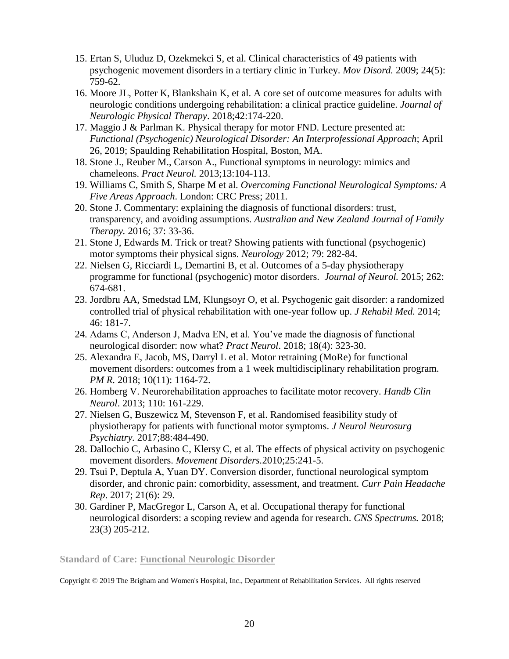- 15. Ertan S, Uluduz D, Ozekmekci S, et al. Clinical characteristics of 49 patients with psychogenic movement disorders in a tertiary clinic in Turkey. *Mov Disord.* 2009; 24(5): 759-62.
- 16. Moore JL, Potter K, Blankshain K, et al. A core set of outcome measures for adults with neurologic conditions undergoing rehabilitation: a clinical practice guideline. *Journal of Neurologic Physical Therapy*. 2018;42:174-220.
- 17. Maggio J & Parlman K. Physical therapy for motor FND. Lecture presented at: *Functional (Psychogenic) Neurological Disorder: An Interprofessional Approach*; April 26, 2019; Spaulding Rehabilitation Hospital, Boston, MA.
- 18. Stone J., Reuber M., Carson A., Functional symptoms in neurology: mimics and chameleons. *Pract Neurol.* 2013;13:104-113.
- 19. Williams C, Smith S, Sharpe M et al. *Overcoming Functional Neurological Symptoms: A Five Areas Approach*. London: CRC Press; 2011.
- 20. Stone J. Commentary: explaining the diagnosis of functional disorders: trust, transparency, and avoiding assumptions. *Australian and New Zealand Journal of Family Therapy.* 2016; 37: 33-36.
- 21. Stone J, Edwards M. Trick or treat? Showing patients with functional (psychogenic) motor symptoms their physical signs. *Neurology* 2012; 79: 282-84.
- 22. Nielsen G, Ricciardi L, Demartini B, et al. Outcomes of a 5-day physiotherapy programme for functional (psychogenic) motor disorders. *Journal of Neurol.* 2015; 262: 674-681.
- 23. Jordbru AA, Smedstad LM, Klungsoyr O, et al. Psychogenic gait disorder: a randomized controlled trial of physical rehabilitation with one-year follow up. *J Rehabil Med.* 2014; 46: 181-7.
- 24. Adams C, Anderson J, Madva EN, et al. You've made the diagnosis of functional neurological disorder: now what? *Pract Neurol*. 2018; 18(4): 323-30.
- 25. Alexandra E, Jacob, MS, Darryl L et al. Motor retraining (MoRe) for functional movement disorders: outcomes from a 1 week multidisciplinary rehabilitation program. *PM R.* 2018; 10(11): 1164-72.
- 26. Homberg V. Neurorehabilitation approaches to facilitate motor recovery. *Handb Clin Neurol*. 2013; 110: 161-229.
- 27. Nielsen G, Buszewicz M, Stevenson F, et al. Randomised feasibility study of physiotherapy for patients with functional motor symptoms. *J Neurol Neurosurg Psychiatry.* 2017;88:484-490.
- 28. Dallochio C, Arbasino C, Klersy C, et al. The effects of physical activity on psychogenic movement disorders. *Movement Disorders.*2010;25:241-5.
- 29. Tsui P, Deptula A, Yuan DY. Conversion disorder, functional neurological symptom disorder, and chronic pain: comorbidity, assessment, and treatment. *Curr Pain Headache Rep*. 2017; 21(6): 29.
- 30. Gardiner P, MacGregor L, Carson A, et al. Occupational therapy for functional neurological disorders: a scoping review and agenda for research. *CNS Spectrums.* 2018; 23(3) 205-212.

**Standard of Care: Functional Neurologic Disorder**